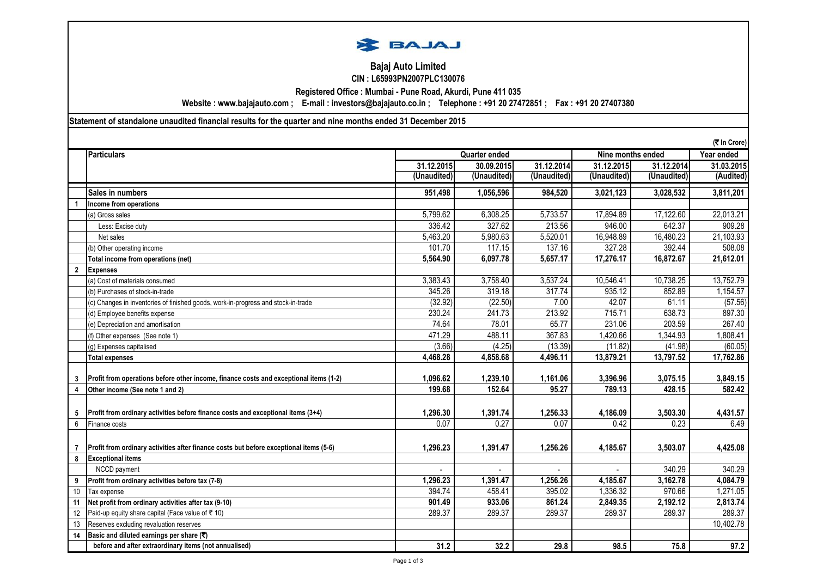

#### **Bajaj Auto Limited CIN : L65993PN2007PLC130076**

**Registered Office : Mumbai - Pune Road, Akurdi, Pune 411 035**

**Website : www.bajajauto.com ; E-mail : investors@bajajauto.co.in ; Telephone : +91 20 27472851 ; Fax : +91 20 27407380**

**Statement of standalone unaudited financial results for the quarter and nine months ended 31 December 2015**

|              | (₹ In Crore)                                                                           |                                    |             |             |             |             |            |
|--------------|----------------------------------------------------------------------------------------|------------------------------------|-------------|-------------|-------------|-------------|------------|
|              | <b>Particulars</b>                                                                     | Quarter ended<br>Nine months ended |             |             |             | Year ended  |            |
|              |                                                                                        | 31.12.2015                         | 30.09.2015  | 31.12.2014  | 31.12.2015  | 31.12.2014  | 31.03.2015 |
|              |                                                                                        | (Unaudited)                        | (Unaudited) | (Unaudited) | (Unaudited) | (Unaudited) | (Audited)  |
|              | Sales in numbers                                                                       | 951,498                            | 1,056,596   | 984,520     | 3,021,123   | 3,028,532   | 3,811,201  |
|              | Income from operations                                                                 |                                    |             |             |             |             |            |
|              | (a) Gross sales                                                                        | 5,799.62                           | 6,308.25    | 5,733.57    | 17,894.89   | 17,122.60   | 22,013.21  |
|              | Less: Excise duty                                                                      | 336.42                             | 327.62      | 213.56      | 946.00      | 642.37      | 909.28     |
|              | Net sales                                                                              | 5,463.20                           | 5,980.63    | 5,520.01    | 16,948.89   | 16,480.23   | 21,103.93  |
|              | (b) Other operating income                                                             | 101.70                             | 117.15      | 137.16      | 327.28      | 392.44      | 508.08     |
|              | Total income from operations (net)                                                     | 5,564.90                           | 6,097.78    | 5,657.17    | 17,276.17   | 16,872.67   | 21,612.01  |
| $\mathbf{2}$ | <b>Expenses</b>                                                                        |                                    |             |             |             |             |            |
|              | (a) Cost of materials consumed                                                         | 3,383.43                           | 3,758.40    | 3,537.24    | 10,546.41   | 10,738.25   | 13,752.79  |
|              | (b) Purchases of stock-in-trade                                                        | 345.26                             | 319.18      | 317.74      | 935.12      | 852.89      | 1,154.57   |
|              | (c) Changes in inventories of finished goods, work-in-progress and stock-in-trade      | (32.92)                            | (22.50)     | 7.00        | 42.07       | 61.11       | (57.56)    |
|              | (d) Employee benefits expense                                                          | 230.24                             | 241.73      | 213.92      | 715.71      | 638.73      | 897.30     |
|              | (e) Depreciation and amortisation                                                      | 74.64                              | 78.01       | 65.77       | 231.06      | 203.59      | 267.40     |
|              | (f) Other expenses (See note 1)                                                        | 471.29                             | 488.11      | 367.83      | 1,420.66    | 1,344.93    | 1,808.41   |
|              | (q) Expenses capitalised                                                               | (3.66)                             | (4.25)      | (13.39)     | (11.82)     | (41.98)     | (60.05)    |
|              | <b>Total expenses</b>                                                                  | 4,468.28                           | 4,858.68    | 4,496.11    | 13,879.21   | 13,797.52   | 17,762.86  |
|              |                                                                                        |                                    |             |             |             |             |            |
| 3            | Profit from operations before other income, finance costs and exceptional items (1-2)  | 1,096.62                           | 1,239.10    | 1,161.06    | 3,396.96    | 3,075.15    | 3,849.15   |
| 4            | Other income (See note 1 and 2)                                                        | 199.68                             | 152.64      | 95.27       | 789.13      | 428.15      | 582.42     |
|              |                                                                                        |                                    |             |             |             |             |            |
| 5            | Profit from ordinary activities before finance costs and exceptional items (3+4)       | 1,296.30                           | 1,391.74    | 1,256.33    | 4,186.09    | 3,503.30    | 4,431.57   |
| 6            | Finance costs                                                                          | 0.07                               | 0.27        | 0.07        | 0.42        | 0.23        | 6.49       |
|              |                                                                                        |                                    |             |             |             |             |            |
|              | Profit from ordinary activities after finance costs but before exceptional items (5-6) | 1,296.23                           | 1,391.47    | 1,256.26    | 4,185.67    | 3,503.07    | 4,425.08   |
| 8            | <b>Exceptional items</b>                                                               |                                    |             |             |             |             |            |
|              | NCCD payment                                                                           |                                    |             |             |             | 340.29      | 340.29     |
| 9            | Profit from ordinary activities before tax (7-8)                                       | 1,296.23                           | 1,391.47    | 1,256.26    | 4,185.67    | 3,162.78    | 4,084.79   |
| 10           | Tax expense                                                                            | 394.74                             | 458.41      | 395.02      | 1,336.32    | 970.66      | 1,271.05   |
| 11           | Net profit from ordinary activities after tax (9-10)                                   | 901.49                             | 933.06      | 861.24      | 2,849.35    | 2,192.12    | 2,813.74   |
| 12           | Paid-up equity share capital (Face value of ₹ 10)                                      | 289.37                             | 289.37      | 289.37      | 289.37      | 289.37      | 289.37     |
| 13           | Reserves excluding revaluation reserves                                                |                                    |             |             |             |             | 10,402.78  |
| 14           | Basic and diluted earnings per share (₹)                                               |                                    |             |             |             |             |            |
|              | before and after extraordinary items (not annualised)                                  | 31.2                               | 32.2        | 29.8        | 98.5        | 75.8        | 97.2       |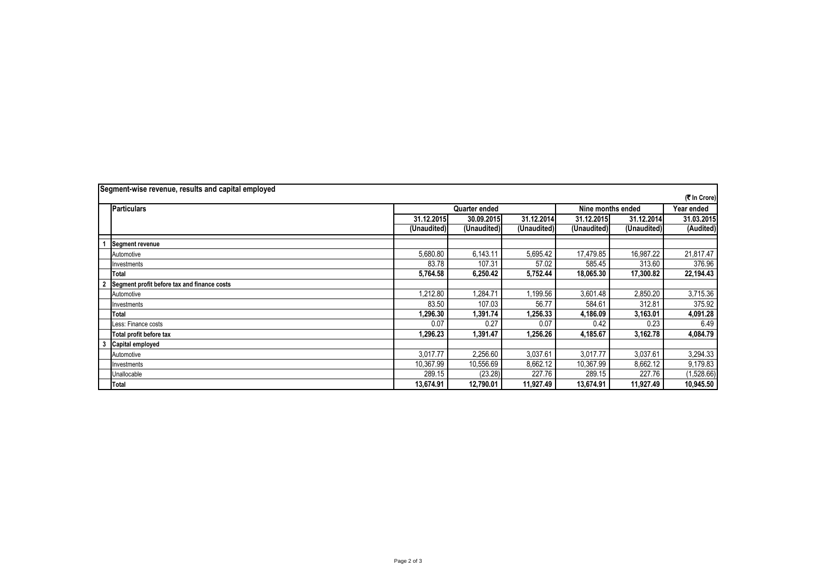| Segment-wise revenue, results and capital employed |                                             |             |               |             |             |                   |              |  |
|----------------------------------------------------|---------------------------------------------|-------------|---------------|-------------|-------------|-------------------|--------------|--|
|                                                    |                                             |             |               |             |             |                   | (₹ In Crore) |  |
|                                                    | <b>Particulars</b>                          |             | Quarter ended |             |             | Nine months ended |              |  |
|                                                    |                                             | 31.12.2015  | 30.09.2015    | 31.12.2014  | 31.12.2015  | 31.12.2014        | 31.03.2015   |  |
|                                                    |                                             | (Unaudited) | (Unaudited)   | (Unaudited) | (Unaudited) | (Unaudited)       | (Audited)    |  |
|                                                    | <b>Segment revenue</b>                      |             |               |             |             |                   |              |  |
|                                                    | Automotive                                  | 5,680.80    | 6,143.11      | 5,695.42    | 17,479.85   | 16,987.22         | 21,817.47    |  |
|                                                    | Investments                                 | 83.78       | 107.31        | 57.02       | 585.45      | 313.60            | 376.96       |  |
|                                                    | Total                                       | 5,764.58    | 6,250.42      | 5,752.44    | 18,065.30   | 17,300.82         | 22,194.43    |  |
|                                                    | Segment profit before tax and finance costs |             |               |             |             |                   |              |  |
|                                                    | Automotive                                  | ,212.80     | 1,284.71      | .199.56     | 3,601.48    | 2,850.20          | 3,715.36     |  |
|                                                    | Investments                                 | 83.50       | 107.03        | 56.77       | 584.61      | 312.81            | 375.92       |  |
|                                                    | Total                                       | 1,296.30    | ,391.74       | 1,256.33    | 4,186.09    | 3,163.01          | 4,091.28     |  |
|                                                    | Less: Finance costs                         | 0.07        | 0.27          | 0.07        | 0.42        | 0.23              | 6.49         |  |
|                                                    | Total profit before tax                     | 1,296.23    | 1,391.47      | 1,256.26    | 4,185.67    | 3,162.78          | 4,084.79     |  |
|                                                    | Capital employed                            |             |               |             |             |                   |              |  |
|                                                    | Automotive                                  | 3,017.77    | 2,256.60      | 3,037.61    | 3,017.77    | 3,037.61          | 3,294.33     |  |
|                                                    | Investments                                 | 10.367.99   | 10,556.69     | 8,662.12    | 10,367.99   | 8,662.12          | 9,179.83     |  |
|                                                    | Unallocable                                 | 289.15      | (23.28)       | 227.76      | 289.15      | 227.76            | (1,528.66)   |  |
|                                                    | <b>Total</b>                                | 13,674.91   | 12,790.01     | 11,927.49   | 13,674.91   | 11,927.49         | 10,945.50    |  |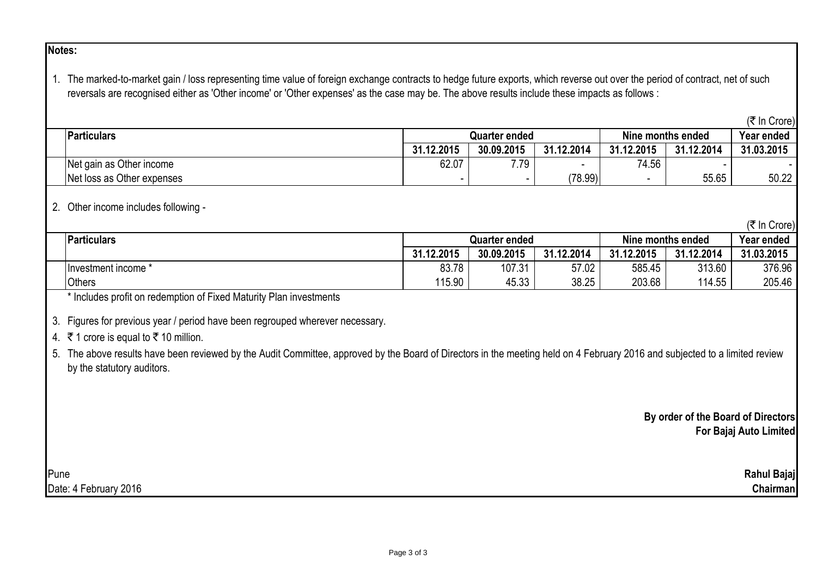**Notes:**

1. The marked-to-market gain / loss representing time value of foreign exchange contracts to hedge future exports, which reverse out over the period of contract, net of such reversals are recognised either as 'Other income' or 'Other expenses' as the case may be. The above results include these impacts as follows :

 $(\mathbf{F} \ln C_{\text{rora}})$ 

 $(\mathcal{F}$  In Crore)

|                            |                      |            |                   |            |            | $(1)$ $(1)$ $(0)$ $(0)$ |
|----------------------------|----------------------|------------|-------------------|------------|------------|-------------------------|
| <b>Particulars</b>         | <b>Quarter ended</b> |            | Nine months ended |            | Year ended |                         |
|                            | 31.12.2015           | 30.09.2015 | 31.12.2014        | 31.12.2015 | 31.12.2014 | 31.03.2015              |
| Net gain as Other income   | 62.07                | 7.79<br>.  | $\,$              | 74.56      |            |                         |
| Net loss as Other expenses |                      |            | (78.99)           |            | 55.65      | 50.22                   |
|                            |                      |            |                   |            |            |                         |

### 2. Other income includes following -

|                     |               |            |                   |                 |            | ו טוטוט ווו |
|---------------------|---------------|------------|-------------------|-----------------|------------|-------------|
| Particulars         | Quarter ended |            | Nine months ended |                 | Year ended |             |
|                     | 31.12.2015    | 30.09.2015 | 31.12.2014        | .12.2015<br>31. | 31.12.2014 | 31.03.2015  |
| lnvestment income ' | 83.78         | 107.31     | 57.02             | 585.45          | 313.60     | 376.96      |
| Others              | 115.90        | 45.33      | 38.25             | 203.68          | 114.55     | 205.46      |

\* Includes profit on redemption of Fixed Maturity Plan investments

# 3. Figures for previous year / period have been regrouped wherever necessary.

4. ₹ 1 crore is equal to ₹ 10 million.

5. The above results have been reviewed by the Audit Committee, approved by the Board of Directors in the meeting held on 4 February 2016 and subjected to a limited review by the statutory auditors.

## **By order of the Board of Directors For Bajaj Auto Limited**

Pune **Rahul Bajaj** Date: 4 February 2016 **Chairman**